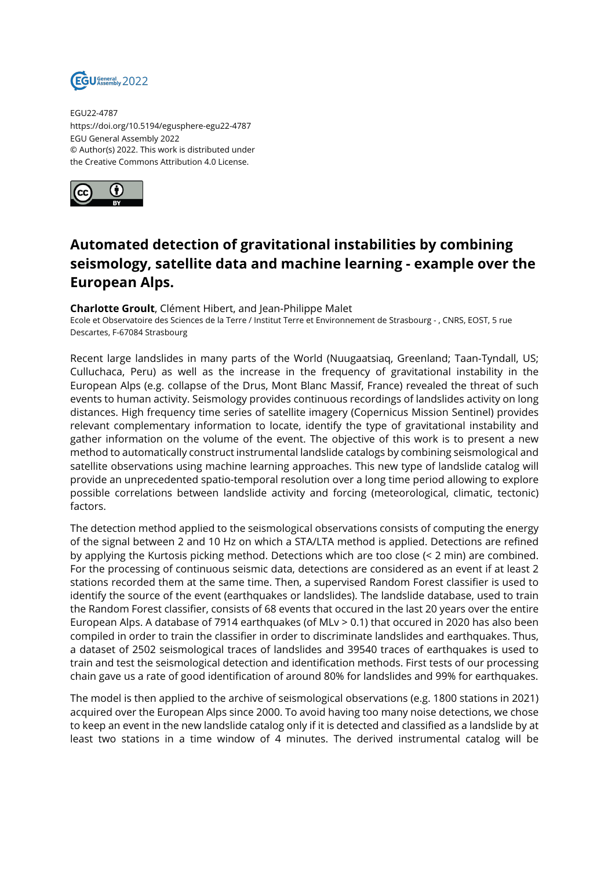

EGU22-4787 https://doi.org/10.5194/egusphere-egu22-4787 EGU General Assembly 2022 © Author(s) 2022. This work is distributed under the Creative Commons Attribution 4.0 License.



## **Automated detection of gravitational instabilities by combining seismology, satellite data and machine learning - example over the European Alps.**

## **Charlotte Groult**, Clément Hibert, and Jean-Philippe Malet

Ecole et Observatoire des Sciences de la Terre / Institut Terre et Environnement de Strasbourg - , CNRS, EOST, 5 rue Descartes, F-67084 Strasbourg

Recent large landslides in many parts of the World (Nuugaatsiaq, Greenland; Taan-Tyndall, US; Culluchaca, Peru) as well as the increase in the frequency of gravitational instability in the European Alps (e.g. collapse of the Drus, Mont Blanc Massif, France) revealed the threat of such events to human activity. Seismology provides continuous recordings of landslides activity on long distances. High frequency time series of satellite imagery (Copernicus Mission Sentinel) provides relevant complementary information to locate, identify the type of gravitational instability and gather information on the volume of the event. The objective of this work is to present a new method to automatically construct instrumental landslide catalogs by combining seismological and satellite observations using machine learning approaches. This new type of landslide catalog will provide an unprecedented spatio-temporal resolution over a long time period allowing to explore possible correlations between landslide activity and forcing (meteorological, climatic, tectonic) factors.

The detection method applied to the seismological observations consists of computing the energy of the signal between 2 and 10 Hz on which a STA/LTA method is applied. Detections are refined by applying the Kurtosis picking method. Detections which are too close (< 2 min) are combined. For the processing of continuous seismic data, detections are considered as an event if at least 2 stations recorded them at the same time. Then, a supervised Random Forest classifier is used to identify the source of the event (earthquakes or landslides). The landslide database, used to train the Random Forest classifier, consists of 68 events that occured in the last 20 years over the entire European Alps. A database of 7914 earthquakes (of MLv > 0.1) that occured in 2020 has also been compiled in order to train the classifier in order to discriminate landslides and earthquakes. Thus, a dataset of 2502 seismological traces of landslides and 39540 traces of earthquakes is used to train and test the seismological detection and identification methods. First tests of our processing chain gave us a rate of good identification of around 80% for landslides and 99% for earthquakes.

The model is then applied to the archive of seismological observations (e.g. 1800 stations in 2021) acquired over the European Alps since 2000. To avoid having too many noise detections, we chose to keep an event in the new landslide catalog only if it is detected and classified as a landslide by at least two stations in a time window of 4 minutes. The derived instrumental catalog will be